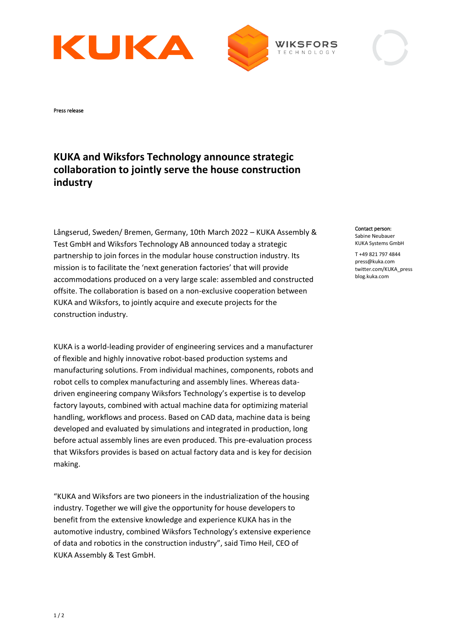





## **KUKA and Wiksfors Technology announce strategic collaboration to jointly serve the house construction industry**

Långserud, Sweden/ Bremen, Germany, 10th March 2022 – KUKA Assembly & Test GmbH and Wiksfors Technology AB announced today a strategic partnership to join forces in the modular house construction industry. Its mission is to facilitate the 'next generation factories' that will provide accommodations produced on a very large scale: assembled and constructed offsite. The collaboration is based on a non-exclusive cooperation between KUKA and Wiksfors, to jointly acquire and execute projects for the construction industry.

KUKA is a world-leading provider of engineering services and a manufacturer of flexible and highly innovative robot-based production systems and manufacturing solutions. From individual machines, components, robots and robot cells to complex manufacturing and assembly lines. Whereas datadriven engineering company Wiksfors Technology's expertise is to develop factory layouts, combined with actual machine data for optimizing material handling, workflows and process. Based on CAD data, machine data is being developed and evaluated by simulations and integrated in production, long before actual assembly lines are even produced. This pre-evaluation process that Wiksfors provides is based on actual factory data and is key for decision making.

"KUKA and Wiksfors are two pioneers in the industrialization of the housing industry. Together we will give the opportunity for house developers to benefit from the extensive knowledge and experience KUKA has in the automotive industry, combined Wiksfors Technology's extensive experience of data and robotics in the construction industry", said Timo Heil, CEO of KUKA Assembly & Test GmbH.

## Contact person:

Sabine Neubauer KUKA Systems GmbH

T +49 821 797 4844 press@kuka.com twitter.com/KUKA\_press blog.kuka.com